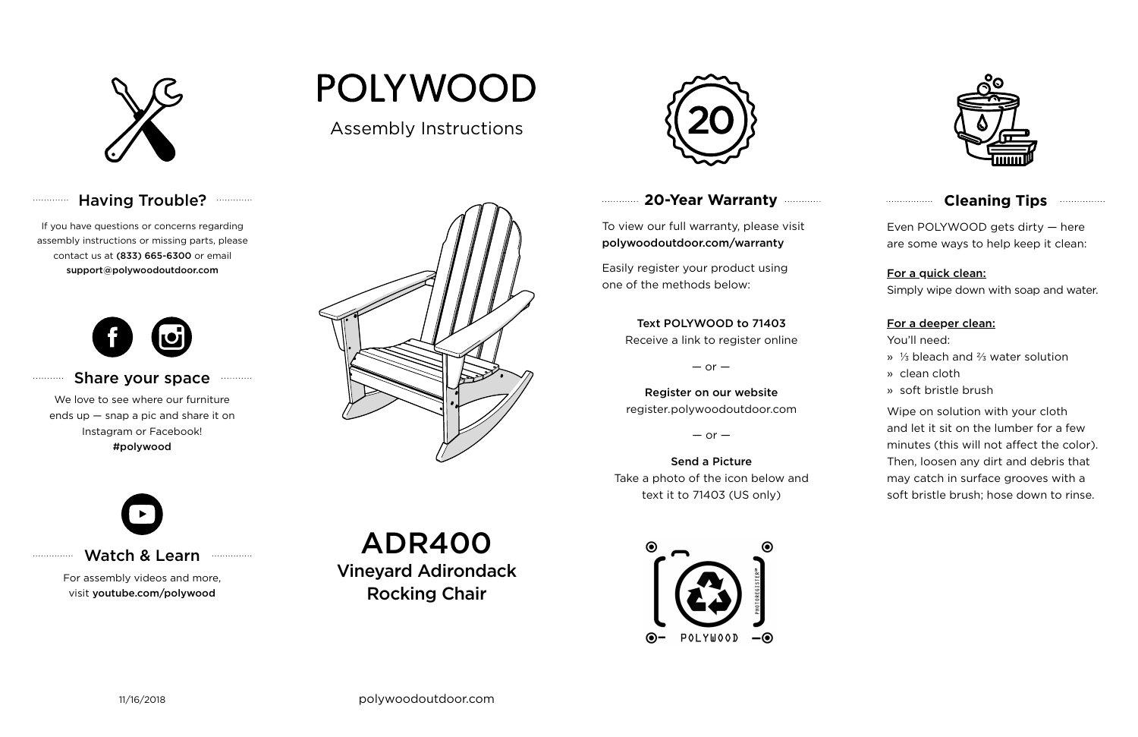

#### Having Trouble? ............



#### **Cleaning Tips <b>Cleaning**</u>

#### **20-Year Warranty**

To view our full warranty, please visit polywoodoutdoor.com/warranty

Easily register your product using one of the methods below:

Even POLYWOOD gets dirty — here are some ways to help keep it clean:

For a quick clean:

Simply wipe down with soap and water.

#### For a deeper clean:

You'll need:

- » ⅓ bleach and ⅔ water solution
- » clean cloth
- » soft bristle brush

Wipe on solution with your cloth and let it sit on the lumber for a few minutes (this will not affect the color). Then, loosen any dirt and debris that may catch in surface grooves with a soft bristle brush; hose down to rinse.

#### Share your space . . . . . . . . . . .

#### Text POLYWOOD to 71403

Receive a link to register online

 $-$  or  $-$ 

Register on our website register.polywoodoutdoor.com

 $-$  or  $-$ 

Send a Picture Take a photo of the icon below and text it to 71403 (US only)



#### Watch & Learn

For assembly videos and more, visit youtube.com/polywood

If you have questions or concerns regarding assembly instructions or missing parts, please contact us at (833) 665-6300 or email support@polywoodoutdoor.com

. . . . . . . . . . . .

. . . . . . . . . . .

. . . . . . . . . . . . . . .



We love to see where our furniture ends up — snap a pic and share it on Instagram or Facebook! #polywood

# **POLYWOOD**

Assembly Instructions





ADR400

Vineyard Adirondack Rocking Chair